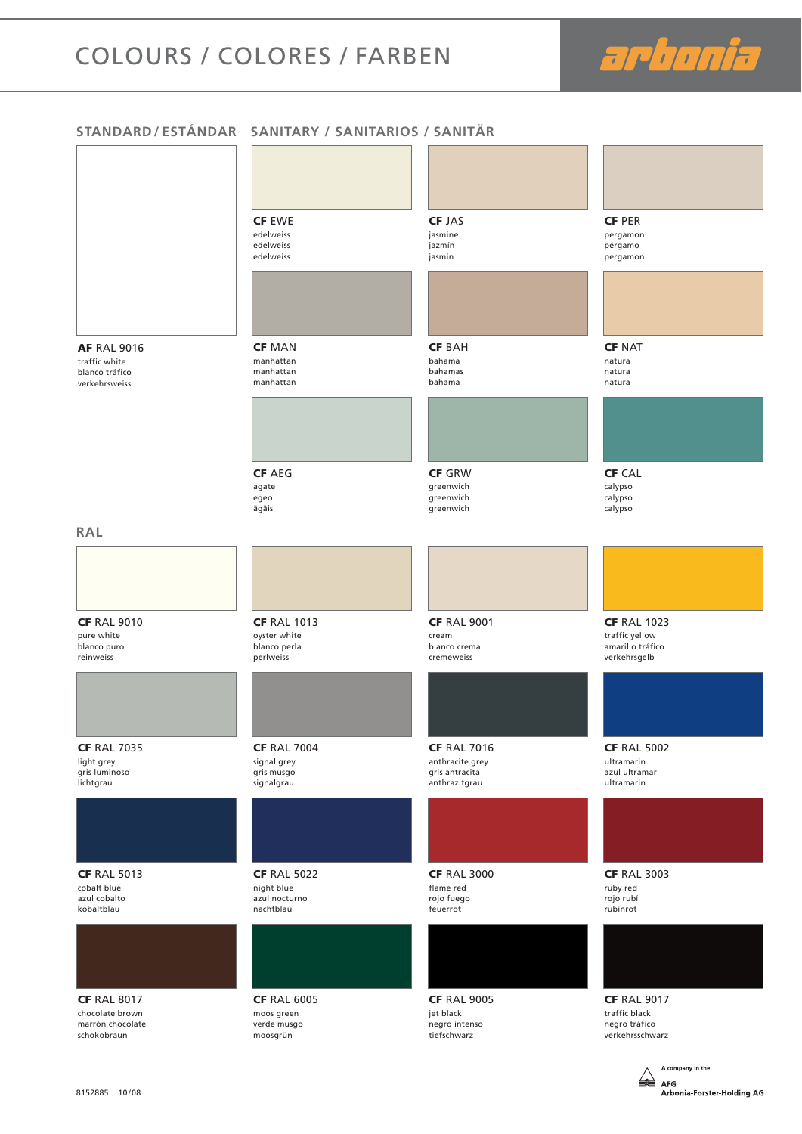# COLOURS / COLORES / FARBEN

arbonia

A AFG

Arbonia-Forster-Holding AG

#### **STANDARD / ESTÁNDAR SANITARY / SANITARIOS / SANITÄR**